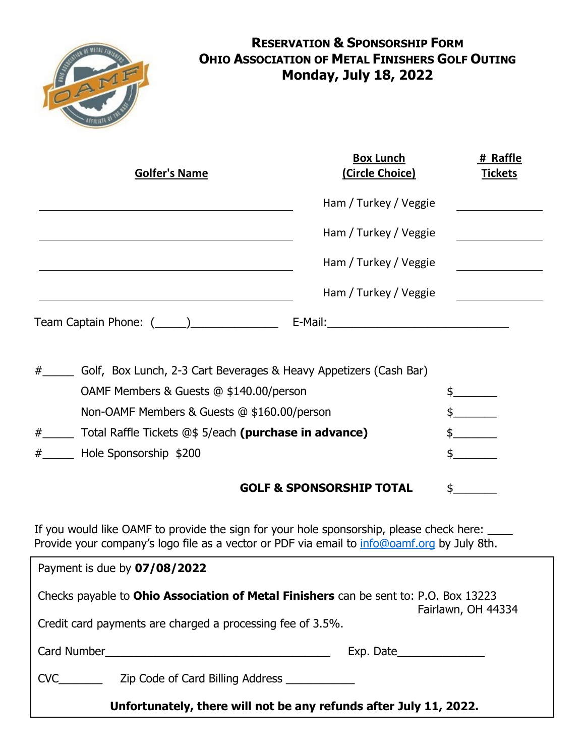

# **RESERVATION & SPONSORSHIP FORM OHIO ASSOCIATION OF METAL FINISHERS GOLF OUTING Monday, July 18, 2022**

|   | <b>Golfer's Name</b>                                              | <b>Box Lunch</b><br>(Circle Choice) | # Raffle<br><b>Tickets</b> |
|---|-------------------------------------------------------------------|-------------------------------------|----------------------------|
|   |                                                                   | Ham / Turkey / Veggie               |                            |
|   |                                                                   | Ham / Turkey / Veggie               |                            |
|   |                                                                   | Ham / Turkey / Veggie               |                            |
|   |                                                                   | Ham / Turkey / Veggie               |                            |
|   | Team Captain Phone: $(\_\_\_\_)$                                  | E-Mail: E-Mail:                     |                            |
| # | Golf, Box Lunch, 2-3 Cart Beverages & Heavy Appetizers (Cash Bar) |                                     |                            |
|   | OAMF Members & Guests @ \$140.00/person                           |                                     |                            |
|   | Non-OAMF Members & Guests @ \$160.00/person                       |                                     |                            |
| # | _ Total Raffle Tickets @\$ 5/each (purchase in advance)           |                                     |                            |
| # | Hole Sponsorship \$200                                            |                                     |                            |
|   |                                                                   |                                     |                            |

### **GOLF & SPONSORSHIP TOTAL** \$

If you would like OAMF to provide the sign for your hole sponsorship, please check here:  $\frac{1}{2}$ Provide your company's logo file as a vector or PDF via email to [info@oamf.org](mailto:info@oamf.org) by July 8th.

| Payment is due by 07/08/2022                                                                                                                                                    |                           |  |  |  |
|---------------------------------------------------------------------------------------------------------------------------------------------------------------------------------|---------------------------|--|--|--|
| Checks payable to <b>Ohio Association of Metal Finishers</b> can be sent to: P.O. Box 13223<br>Fairlawn, OH 44334<br>Credit card payments are charged a processing fee of 3.5%. |                           |  |  |  |
|                                                                                                                                                                                 | Exp. Date $\qquad \qquad$ |  |  |  |
| <b>CVC</b><br>Zip Code of Card Billing Address                                                                                                                                  |                           |  |  |  |
| Unfortunately, there will not be any refunds after July 11, 2022.                                                                                                               |                           |  |  |  |